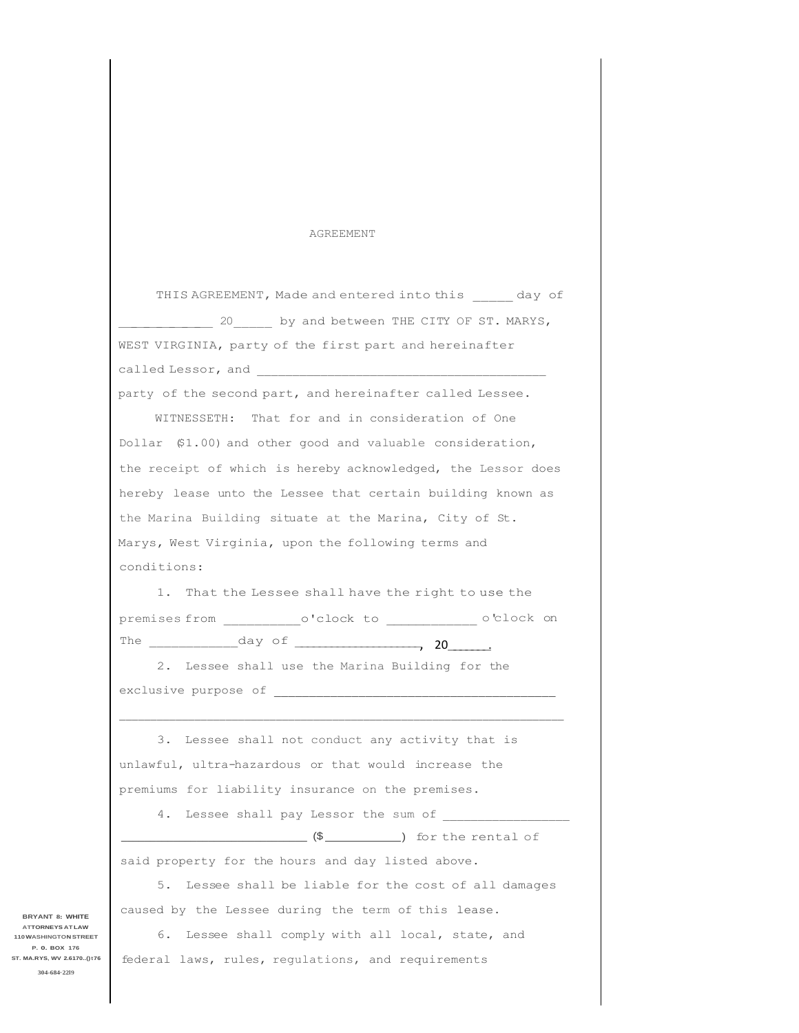## AGREEMENT

|             | THIS AGREEMENT, Made and entered into this day of              |
|-------------|----------------------------------------------------------------|
|             | 20 by and between THE CITY OF ST. MARYS,                       |
|             | WEST VIRGINIA, party of the first part and hereinafter         |
|             |                                                                |
|             | party of the second part, and hereinafter called Lessee.       |
|             | WITNESSETH: That for and in consideration of One               |
|             | Dollar (\$1.00) and other good and valuable consideration,     |
|             | the receipt of which is hereby acknowledged, the Lessor does   |
|             | hereby lease unto the Lessee that certain building known as    |
|             | the Marina Building situate at the Marina, City of St.         |
|             | Marys, West Virginia, upon the following terms and             |
| conditions: |                                                                |
|             | 1. That the Lessee shall have the right to use the             |
|             | premises from ____________o'clock to _______________o'clock on |
|             |                                                                |
|             | 2. Lessee shall use the Marina Building for the                |
|             |                                                                |
|             |                                                                |
|             | 3. Lessee shall not conduct any activity that is               |
|             | unlawful, ultra-hazardous or that would increase the           |
|             | premiums for liability insurance on the premises.              |
|             | 4. Lessee shall pay Lessor the sum of                          |
|             |                                                                |
|             | said property for the hours and day listed above.              |
| 5.          | Lessee shall be liable for the cost of all damages             |

caused by the Lessee during the term of this lease.

6. Lessee shall comply with all local, state, and federal laws, rules, regulations, and requirements

**BRYANT 8: WHITE ATTORNEYS AT LAW 110WASHINGTON STREET P. 0. BOX 176 ST. MA.RYS, WV 2.6170..()t76 304-684·22l9**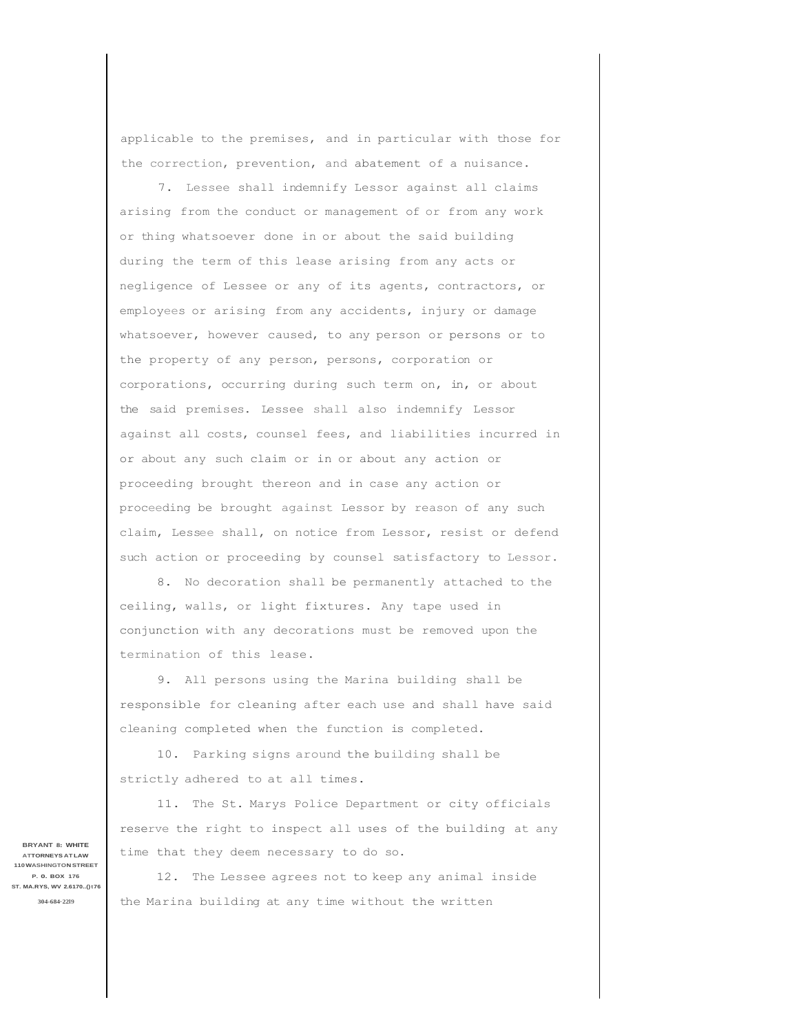applicable to the premises, and in particular with those for the correction, prevention, and abatement of a nuisance.

7. Lessee shall indemnify Lessor against all claims arising from the conduct or management of or from any work or thing whatsoever done in or about the said building during the term of this lease arising from any acts or negligence of Lessee or any of its agents, contractors, or employees or arising from any accidents, injury or damage whatsoever, however caused, to any person or persons or to the property of any person, persons, corporation or corporations, occurring during such term on, in, or about the said premises. Lessee shall also indemnify Lessor against all costs, counsel fees, and liabilities incurred in or about any such claim or in or about any action or proceeding brought thereon and in case any action or proceeding be brought against Lessor by reason of any such claim, Lessee shall, on notice from Lessor, resist or defend such action or proceeding by counsel satisfactory to Lessor.

8. No decoration shall be permanently attached to the ceiling, walls, or light fixtures. Any tape used in conjunction with any decorations must be removed upon the termination of this lease.

9. All persons using the Marina building shall be responsible for cleaning after each use and shall have said cleaning completed when the function is completed.

10. Parking signs around the building shall be strictly adhered to at all times.

11. The St. Marys Police Department or city officials reserve the right to inspect all uses of the building at any time that they deem necessary to do so.

12. The Lessee agrees not to keep any animal inside the Marina building at any time without the written

**BRYANT 8: WHITE ATTORNEYS AT LAW 110WASHINGTON STREET P. 0. BOX 176 ST. MA.RYS, WV 2.6170..()t76 304-684·22l9**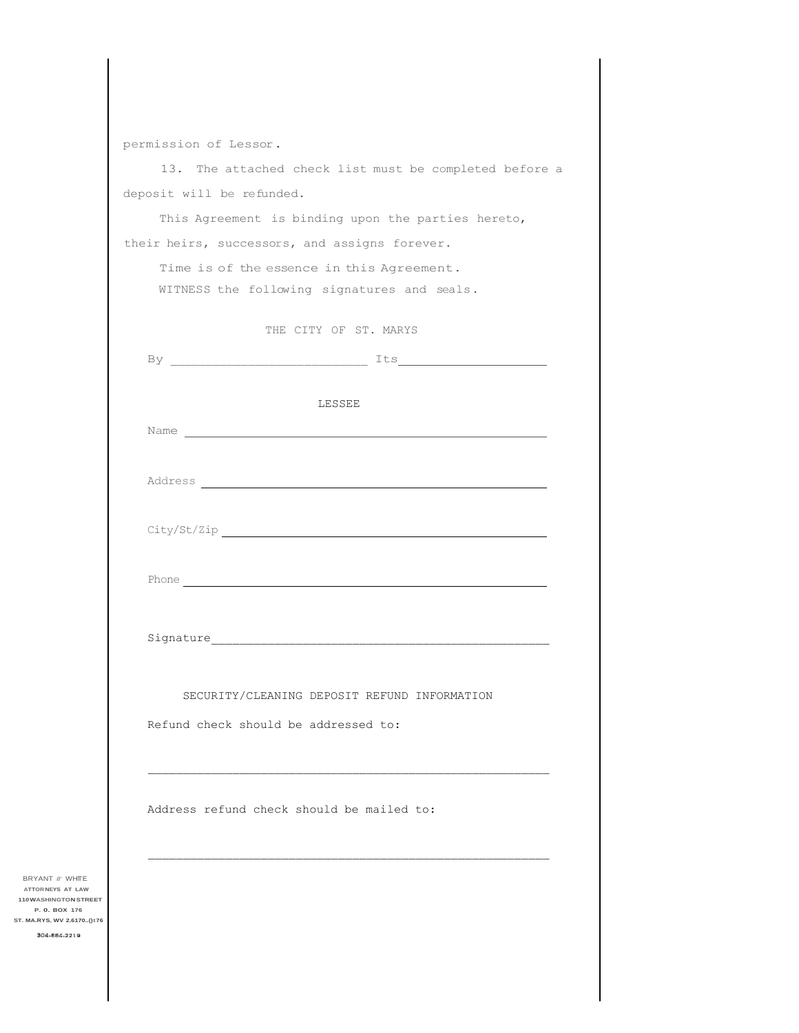|                                            | permission of Lessor.                                  |
|--------------------------------------------|--------------------------------------------------------|
|                                            | 13. The attached check list must be completed before a |
|                                            | deposit will be refunded.                              |
|                                            | This Agreement is binding upon the parties hereto,     |
|                                            | their heirs, successors, and assigns forever.          |
|                                            | Time is of the essence in this Agreement.              |
|                                            | WITNESS the following signatures and seals.            |
|                                            |                                                        |
|                                            | THE CITY OF ST. MARYS                                  |
|                                            |                                                        |
|                                            |                                                        |
|                                            | LESSEE                                                 |
|                                            |                                                        |
|                                            |                                                        |
|                                            |                                                        |
|                                            |                                                        |
|                                            |                                                        |
|                                            |                                                        |
|                                            |                                                        |
|                                            |                                                        |
|                                            |                                                        |
|                                            |                                                        |
|                                            | SECURITY/CLEANING DEPOSIT REFUND INFORMATION           |
|                                            |                                                        |
|                                            | Refund check should be addressed to:                   |
|                                            |                                                        |
|                                            |                                                        |
|                                            | Address refund check should be mailed to:              |
|                                            |                                                        |
|                                            |                                                        |
| BRYANT 8' WHITE<br>ATTOR NEYS AT LAW       |                                                        |
| 110 WASHINGTON STREET<br>P. O. BOX 176     |                                                        |
| ST. MA.RYS, WV 2.6170()t76<br>304-684-2219 |                                                        |
|                                            |                                                        |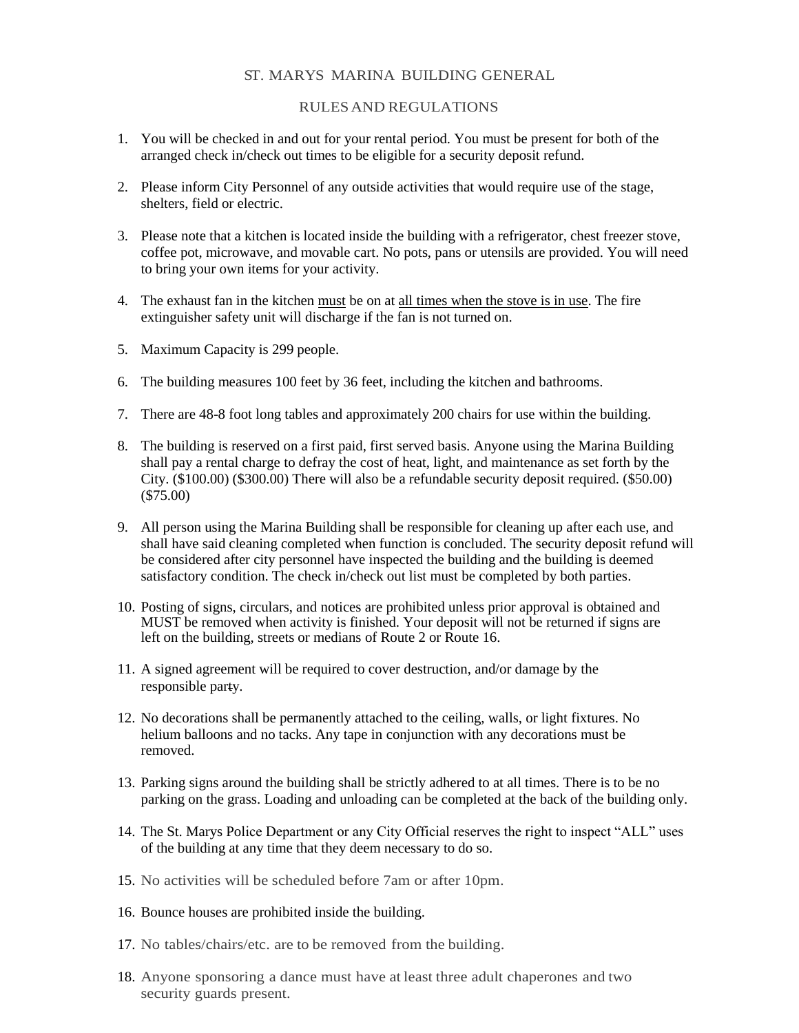## ST. MARYS MARINA BUILDING GENERAL

## RULESAND REGULATIONS

- 1. You will be checked in and out for your rental period. You must be present for both of the arranged check in/check out times to be eligible for a security deposit refund.
- 2. Please inform City Personnel of any outside activities that would require use of the stage, shelters, field or electric.
- 3. Please note that a kitchen is located inside the building with a refrigerator, chest freezer stove, coffee pot, microwave, and movable cart. No pots, pans or utensils are provided. You will need to bring your own items for your activity.
- 4. The exhaust fan in the kitchen must be on at all times when the stove is in use. The fire extinguisher safety unit will discharge if the fan is not turned on.
- 5. Maximum Capacity is 299 people.
- 6. The building measures 100 feet by 36 feet, including the kitchen and bathrooms.
- 7. There are 48-8 foot long tables and approximately 200 chairs for use within the building.
- 8. The building is reserved on a first paid, first served basis. Anyone using the Marina Building shall pay a rental charge to defray the cost of heat, light, and maintenance as set forth by the City. (\$100.00) (\$300.00) There will also be a refundable security deposit required. (\$50.00) (\$75.00)
- 9. All person using the Marina Building shall be responsible for cleaning up after each use, and shall have said cleaning completed when function is concluded. The security deposit refund will be considered after city personnel have inspected the building and the building is deemed satisfactory condition. The check in/check out list must be completed by both parties.
- 10. Posting of signs, circulars, and notices are prohibited unless prior approval is obtained and MUST be removed when activity is finished. Your deposit will not be returned if signs are left on the building, streets or medians of Route 2 or Route 16.
- 11. A signed agreement will be required to cover destruction, and/or damage by the responsible party.
- 12. No decorations shall be permanently attached to the ceiling, walls, or light fixtures. No helium balloons and no tacks. Any tape in conjunction with any decorations must be removed.
- 13. Parking signs around the building shall be strictly adhered to at all times. There is to be no parking on the grass. Loading and unloading can be completed at the back of the building only.
- 14. The St. Marys Police Department or any City Official reserves the right to inspect "ALL" uses of the building at any time that they deem necessary to do so.
- 15. No activities will be scheduled before 7am or after 10pm.
- 16. Bounce houses are prohibited inside the building.
- 17. No tables/chairs/etc. are to be removed from the building.
- 18. Anyone sponsoring a dance must have at least three adult chaperones and two security guards present.